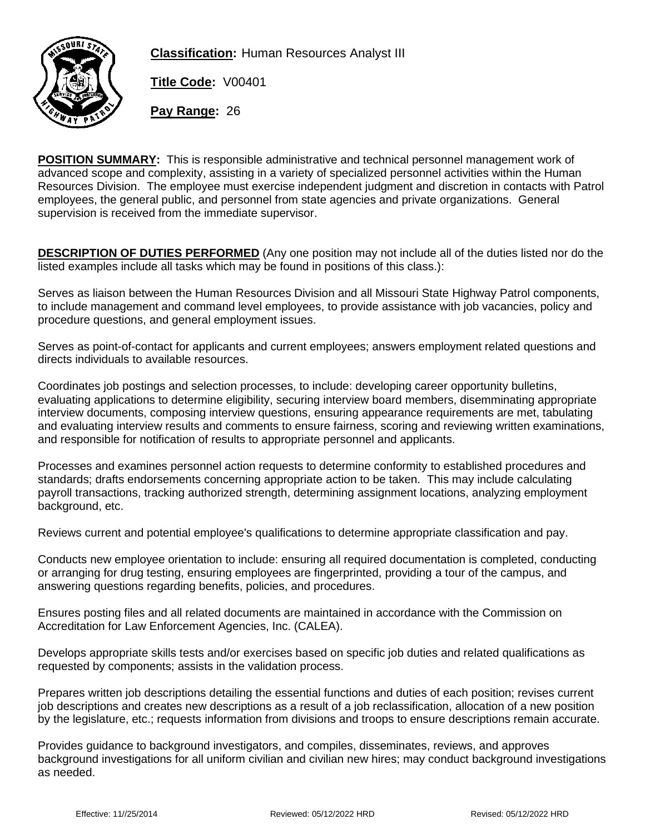

**Classification:** Human Resources Analyst III

**Title Code:** V00401

**Pay Range:** 26

**POSITION SUMMARY:** This is responsible administrative and technical personnel management work of advanced scope and complexity, assisting in a variety of specialized personnel activities within the Human Resources Division. The employee must exercise independent judgment and discretion in contacts with Patrol employees, the general public, and personnel from state agencies and private organizations. General supervision is received from the immediate supervisor.

**DESCRIPTION OF DUTIES PERFORMED** (Any one position may not include all of the duties listed nor do the listed examples include all tasks which may be found in positions of this class.):

Serves as liaison between the Human Resources Division and all Missouri State Highway Patrol components, to include management and command level employees, to provide assistance with job vacancies, policy and procedure questions, and general employment issues.

Serves as point-of-contact for applicants and current employees; answers employment related questions and directs individuals to available resources.

Coordinates job postings and selection processes, to include: developing career opportunity bulletins, evaluating applications to determine eligibility, securing interview board members, disemminating appropriate interview documents, composing interview questions, ensuring appearance requirements are met, tabulating and evaluating interview results and comments to ensure fairness, scoring and reviewing written examinations, and responsible for notification of results to appropriate personnel and applicants.

Processes and examines personnel action requests to determine conformity to established procedures and standards; drafts endorsements concerning appropriate action to be taken. This may include calculating payroll transactions, tracking authorized strength, determining assignment locations, analyzing employment background, etc.

Reviews current and potential employee's qualifications to determine appropriate classification and pay.

Conducts new employee orientation to include: ensuring all required documentation is completed, conducting or arranging for drug testing, ensuring employees are fingerprinted, providing a tour of the campus, and answering questions regarding benefits, policies, and procedures.

Ensures posting files and all related documents are maintained in accordance with the Commission on Accreditation for Law Enforcement Agencies, Inc. (CALEA).

Develops appropriate skills tests and/or exercises based on specific job duties and related qualifications as requested by components; assists in the validation process.

Prepares written job descriptions detailing the essential functions and duties of each position; revises current job descriptions and creates new descriptions as a result of a job reclassification, allocation of a new position by the legislature, etc.; requests information from divisions and troops to ensure descriptions remain accurate.

Provides guidance to background investigators, and compiles, disseminates, reviews, and approves background investigations for all uniform civilian and civilian new hires; may conduct background investigations as needed.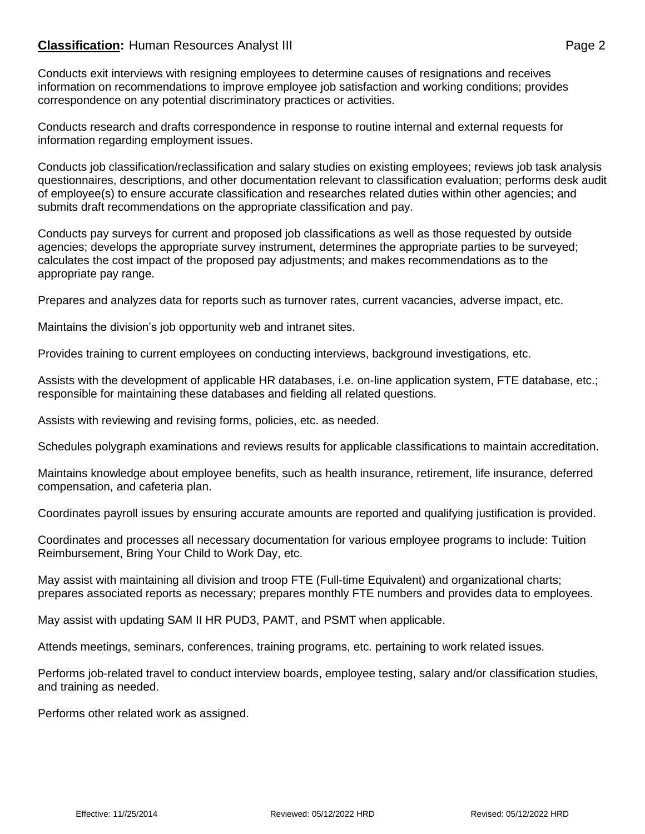## **Classification:** Human Resources Analyst III **Classification:** Page 2

Conducts exit interviews with resigning employees to determine causes of resignations and receives information on recommendations to improve employee job satisfaction and working conditions; provides correspondence on any potential discriminatory practices or activities.

Conducts research and drafts correspondence in response to routine internal and external requests for information regarding employment issues.

Conducts job classification/reclassification and salary studies on existing employees; reviews job task analysis questionnaires, descriptions, and other documentation relevant to classification evaluation; performs desk audit of employee(s) to ensure accurate classification and researches related duties within other agencies; and submits draft recommendations on the appropriate classification and pay.

Conducts pay surveys for current and proposed job classifications as well as those requested by outside agencies; develops the appropriate survey instrument, determines the appropriate parties to be surveyed; calculates the cost impact of the proposed pay adjustments; and makes recommendations as to the appropriate pay range.

Prepares and analyzes data for reports such as turnover rates, current vacancies, adverse impact, etc.

Maintains the division's job opportunity web and intranet sites.

Provides training to current employees on conducting interviews, background investigations, etc.

Assists with the development of applicable HR databases, i.e. on-line application system, FTE database, etc.; responsible for maintaining these databases and fielding all related questions.

Assists with reviewing and revising forms, policies, etc. as needed.

Schedules polygraph examinations and reviews results for applicable classifications to maintain accreditation.

Maintains knowledge about employee benefits, such as health insurance, retirement, life insurance, deferred compensation, and cafeteria plan.

Coordinates payroll issues by ensuring accurate amounts are reported and qualifying justification is provided.

Coordinates and processes all necessary documentation for various employee programs to include: Tuition Reimbursement, Bring Your Child to Work Day, etc.

May assist with maintaining all division and troop FTE (Full-time Equivalent) and organizational charts; prepares associated reports as necessary; prepares monthly FTE numbers and provides data to employees.

May assist with updating SAM II HR PUD3, PAMT, and PSMT when applicable.

Attends meetings, seminars, conferences, training programs, etc. pertaining to work related issues.

Performs job-related travel to conduct interview boards, employee testing, salary and/or classification studies, and training as needed.

Performs other related work as assigned.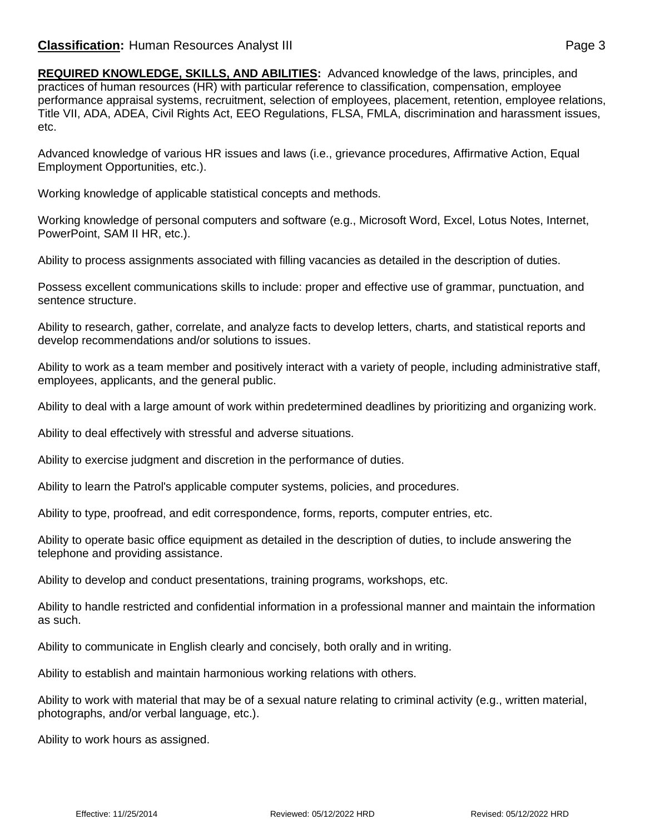**REQUIRED KNOWLEDGE, SKILLS, AND ABILITIES:** Advanced knowledge of the laws, principles, and practices of human resources (HR) with particular reference to classification, compensation, employee performance appraisal systems, recruitment, selection of employees, placement, retention, employee relations, Title VII, ADA, ADEA, Civil Rights Act, EEO Regulations, FLSA, FMLA, discrimination and harassment issues, etc.

Advanced knowledge of various HR issues and laws (i.e., grievance procedures, Affirmative Action, Equal Employment Opportunities, etc.).

Working knowledge of applicable statistical concepts and methods.

Working knowledge of personal computers and software (e.g., Microsoft Word, Excel, Lotus Notes, Internet, PowerPoint, SAM II HR, etc.).

Ability to process assignments associated with filling vacancies as detailed in the description of duties.

Possess excellent communications skills to include: proper and effective use of grammar, punctuation, and sentence structure.

Ability to research, gather, correlate, and analyze facts to develop letters, charts, and statistical reports and develop recommendations and/or solutions to issues.

Ability to work as a team member and positively interact with a variety of people, including administrative staff, employees, applicants, and the general public.

Ability to deal with a large amount of work within predetermined deadlines by prioritizing and organizing work.

Ability to deal effectively with stressful and adverse situations.

Ability to exercise judgment and discretion in the performance of duties.

Ability to learn the Patrol's applicable computer systems, policies, and procedures.

Ability to type, proofread, and edit correspondence, forms, reports, computer entries, etc.

Ability to operate basic office equipment as detailed in the description of duties, to include answering the telephone and providing assistance.

Ability to develop and conduct presentations, training programs, workshops, etc.

Ability to handle restricted and confidential information in a professional manner and maintain the information as such.

Ability to communicate in English clearly and concisely, both orally and in writing.

Ability to establish and maintain harmonious working relations with others.

Ability to work with material that may be of a sexual nature relating to criminal activity (e.g., written material, photographs, and/or verbal language, etc.).

Ability to work hours as assigned.